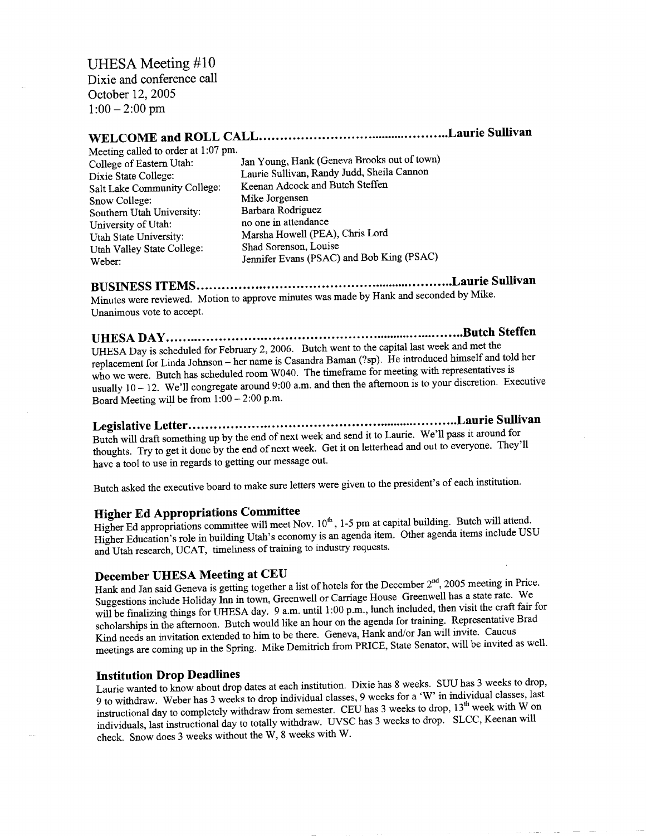### UHESA Meeting #10

Dixie and conference call  $\lambda$ ic and comercin  $2005$  12, 2003

# **WELCOME and ROLL CALL Laurie Sullivan**

| WELCOME and NOLL CALLESSE           |                                             |
|-------------------------------------|---------------------------------------------|
| Meeting called to order at 1:07 pm. |                                             |
| College of Eastern Utah:            | Jan Young, Hank (Geneva Brooks out of town) |
| Dixie State College:                | Laurie Sullivan, Randy Judd, Sheila Cannon  |
| Salt Lake Community College:        | Keenan Adcock and Butch Steffen             |
| Snow College:                       | Mike Jorgensen                              |
| Southern Utah University:           | Barbara Rodriguez                           |
| University of Utah:                 | no one in attendance                        |
| Utah State University:              | Marsha Howell (PEA), Chris Lord             |
| Utah Valley State College:          | Shad Sorenson, Louise                       |
| Weber:                              | Jennifer Evans (PSAC) and Bob King (PSAC)   |

**BUSINESS ITEMS Laurie Sullivan**  $\mu_{\text{M}}$  M<sub>inute</sub>s  $\mu_{\text{M}}$  M<sub>inute</sub> approve minutes was made by Hank and seconded by Mike. Inutes were reviewed.  $\mu$ 

**UHESA DAY Butch Steffen** UHESA Day is scheduled for February 2, 2006. Butch went to the capital last week and met the replacement for Linda Johnson - her name is Casandra Baman (?sp). He introduced himself and told her who we were. Butch has scheduled room W040. The timeframe for meeting with representatives is ho we were. Butch has scheduled from  $W(40)$ . The difference for modifies we are represented. Executive sually  $10 - 12$ . We if congregate around  $5.00 \text{ m}$ .

**Legislative Letter Laurie Sullivan** Butch will draft something up by the end of next week and send it to Laurie. We'll pass it around for the will draft something up by the end of next week. Get it on letterhead and out to everyone. They'll houghts. Try to get it done by the end of heat week. So

Butch asked the executive board to make sure letters were given to the president's of each institution.

# **Higher Ed Appropriations Committee**

Higher Ed appropriations committee will meet Nov.  $10^{th}$ , 1-5 pm at capital building. Butch will attend. Higher Education's role in building Utah's economy is an agenda item. Other agenda items include USU and Utah research, UCAT, timeliness of training to industry requests.

#### **December UHESA Meeting at CEU**

Hank and Jan said Geneva is getting together a list of hotels for the December  $2<sup>nd</sup>$ , 2005 meeting in Price. Suggestions include Holiday Inn in town, Greenwell or Carriage House Greenwell has a state rate. We will be finalizing things for UHESA day. 9 a.m. until 1:00 p.m., lunch included, then visit the craft fair for scholarships in the afternoon. Butch would like an hour on the agenda for training. Representative Brad Kind needs an invitation extended to him to be there. Geneva, Hank and/or Jan will invite. Caucus meetings are coming up in the Spring. Mike Demitrich from PRICE, State Senator, will be invited as well.

#### **Institution Drop Deadlines**

Laurie wanted to know about drop dates at each institution. Dixie has 8 weeks. SUU has 3 weeks to drop, 9 to withdraw. Weber has 3 weeks to drop individual classes, 9 weeks for a 'W' in individual classes, last instructional day to completely withdraw from semester. CEU has 3 weeks to drop, 13<sup>th</sup> week with W on individuals, last instructional day to totally withdraw. UVSC has 3 weeks to drop. SLCC, Keenan will check. Snow does 3 weeks without the W, 8 weeks with W.